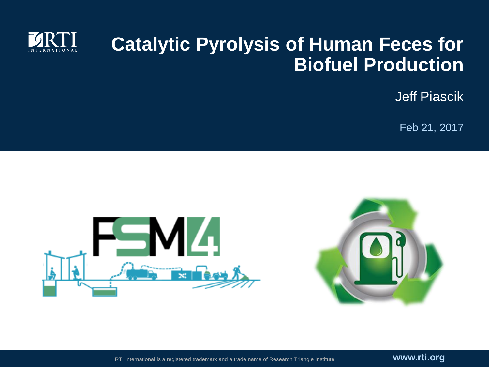

#### **Catalytic Pyrolysis of Human Feces for Biofuel Production**

Jeff Piascik

Feb 21, 2017



RTI International is a registered trademark and a trade name of Research Triangle Institute. **www.rti.org**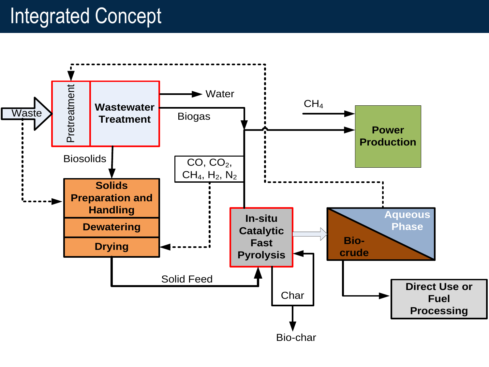### Integrated Concept

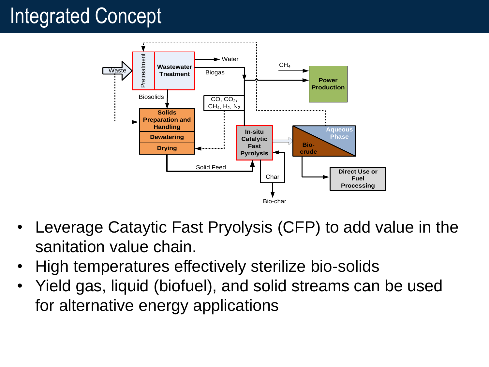# Integrated Concept



- Leverage Cataytic Fast Pryolysis (CFP) to add value in the sanitation value chain.
- High temperatures effectively sterilize bio-solids
- Yield gas, liquid (biofuel), and solid streams can be used for alternative energy applications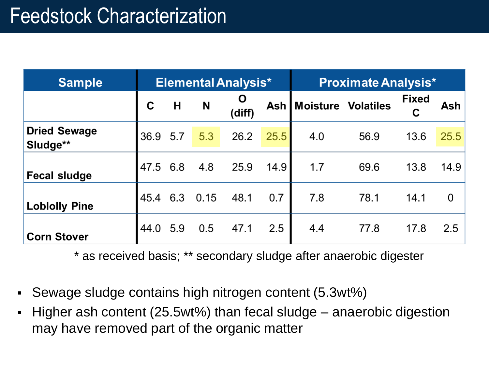| <b>Sample</b>                   | <b>Elemental Analysis*</b> |     |      |             | <b>Proximate Analysis*</b> |                          |      |                   |      |
|---------------------------------|----------------------------|-----|------|-------------|----------------------------|--------------------------|------|-------------------|------|
|                                 | C                          | Н   | N    | Ő<br>(diff) |                            | Ash   Moisture Volatiles |      | <b>Fixed</b><br>С | Ash  |
| <b>Dried Sewage</b><br>Sludge** | 36.9 5.7                   |     | 5.3  | 26.2        | 25.5                       | 4.0                      | 56.9 | 13.6              | 25.5 |
| <b>Fecal sludge</b>             | 47.5 6.8                   |     | 4.8  | 25.9        | 14.9                       | 1.7                      | 69.6 | 13.8              | 14.9 |
| <b>Loblolly Pine</b>            | 45.4                       | 6.3 | 0.15 | 48.1        | 0.7                        | 7.8                      | 78.1 | 14.1              | 0    |
| <b>Corn Stover</b>              | 44.0                       | 5.9 | 0.5  | 47.1        | 2.5                        | 4.4                      | 77.8 | 17.8              | 2.5  |

\* as received basis; \*\* secondary sludge after anaerobic digester

- Sewage sludge contains high nitrogen content (5.3wt%)
- Higher ash content (25.5wt%) than fecal sludge anaerobic digestion may have removed part of the organic matter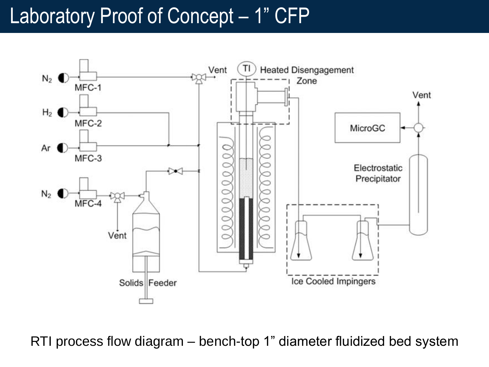#### Laboratory Proof of Concept – 1" CFP



RTI process flow diagram – bench-top 1" diameter fluidized bed system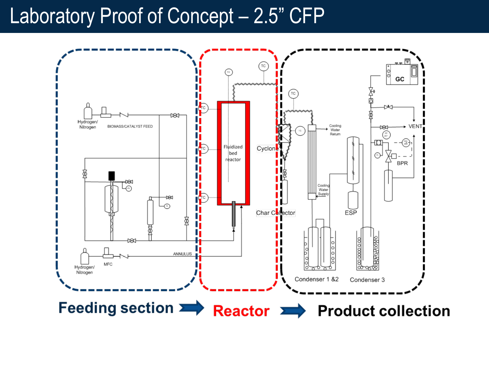#### Laboratory Proof of Concept - 2.5" CFP

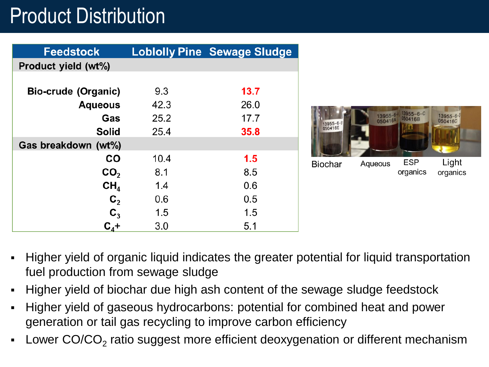# Product Distribution

| <b>Feedstock</b>    |      | <b>Lobiolly Pine Sewage Sludge</b> |
|---------------------|------|------------------------------------|
| Product yield (wt%) |      |                                    |
|                     |      |                                    |
| Bio-crude (Organic) | 9.3  | 13.7                               |
| <b>Aqueous</b>      | 42.3 | 26.0                               |
| Gas                 | 25.2 | 17.7                               |
| <b>Solid</b>        | 25.4 | 35.8                               |
| Gas breakdown (wt%) |      |                                    |
| <b>CO</b>           | 10.4 | 1.5                                |
| CO <sub>2</sub>     | 8.1  | 8.5                                |
| CH <sub>4</sub>     | 1.4  | 0.6                                |
| $\mathbf{C}_2$      | 0.6  | 0.5                                |
| $\mathbf{C}_3$      | 1.5  | 1.5                                |
| $C_{4}+$            | 3.0  | 5.1                                |



- Higher yield of organic liquid indicates the greater potential for liquid transportation fuel production from sewage sludge
- Higher yield of biochar due high ash content of the sewage sludge feedstock
- Higher yield of gaseous hydrocarbons: potential for combined heat and power generation or tail gas recycling to improve carbon efficiency
- **-** Lower CO/CO<sub>2</sub> ratio suggest more efficient deoxygenation or different mechanism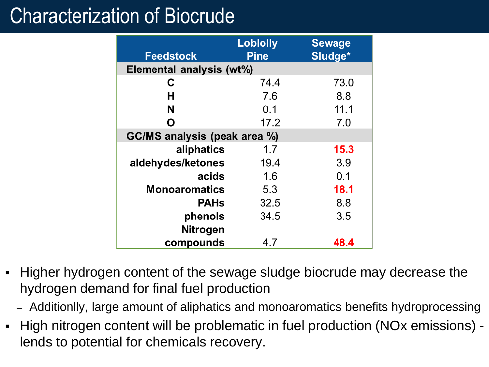### Characterization of Biocrude

| <b>Feedstock</b>             | <b>Lobiolly</b><br><b>Pine</b> | <b>Sewage</b><br>Sludge* |  |  |  |
|------------------------------|--------------------------------|--------------------------|--|--|--|
| Elemental analysis (wt%)     |                                |                          |  |  |  |
| С                            | 74.4                           | 73.0                     |  |  |  |
| н                            | 7.6                            | 8.8                      |  |  |  |
| N                            | 0.1                            | 11.1                     |  |  |  |
| Ο                            | 17.2                           | 7.0                      |  |  |  |
| GC/MS analysis (peak area %) |                                |                          |  |  |  |
| aliphatics                   | 1.7                            | 15.3                     |  |  |  |
| aldehydes/ketones            | 19.4                           | 3.9                      |  |  |  |
| acids                        | 1.6                            | 0.1                      |  |  |  |
| <b>Monoaromatics</b>         | 5.3                            | 18.1                     |  |  |  |
| <b>PAHs</b>                  | 32.5                           | 8.8                      |  |  |  |
| phenols                      | 34.5                           | 3.5                      |  |  |  |
| <b>Nitrogen</b>              |                                |                          |  |  |  |
| compounds                    | 4.7                            | 48.4                     |  |  |  |

- Higher hydrogen content of the sewage sludge biocrude may decrease the hydrogen demand for final fuel production
	- Additionlly, large amount of aliphatics and monoaromatics benefits hydroprocessing
- High nitrogen content will be problematic in fuel production (NOx emissions) lends to potential for chemicals recovery.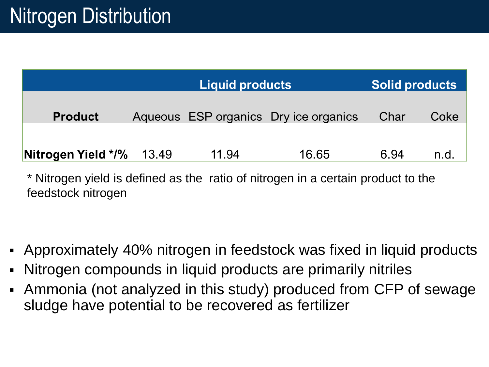|                    |       | <b>Liquid products</b> | <b>Solid products</b>                 |      |      |
|--------------------|-------|------------------------|---------------------------------------|------|------|
| <b>Product</b>     |       |                        | Aqueous ESP organics Dry ice organics | Char | Coke |
| Nitrogen Yield */% | 13.49 | 11.94                  | 16.65                                 | 6.94 | n.d  |

\* Nitrogen yield is defined as the ratio of nitrogen in a certain product to the feedstock nitrogen

- Approximately 40% nitrogen in feedstock was fixed in liquid products
- Nitrogen compounds in liquid products are primarily nitriles
- Ammonia (not analyzed in this study) produced from CFP of sewage sludge have potential to be recovered as fertilizer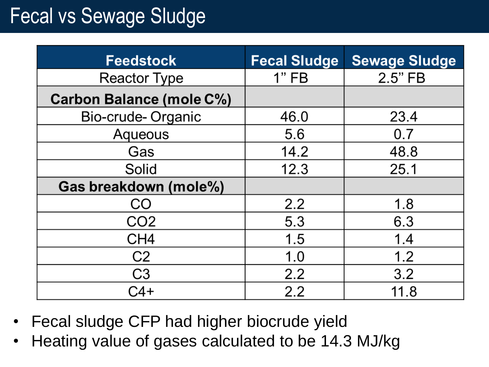# Fecal vs Sewage Sludge

| <b>Feedstock</b>                | <b>Fecal Sludge</b> | <b>Sewage Sludge</b> |
|---------------------------------|---------------------|----------------------|
| <b>Reactor Type</b>             | 1"FB                | 2.5"FB               |
| <b>Carbon Balance (mole C%)</b> |                     |                      |
| Bio-crude-Organic               | 46.0                | 23.4                 |
| Aqueous                         | 5.6                 | 0.7                  |
| Gas                             | 14.2                | 48.8                 |
| Solid                           | 12.3                | 25.1                 |
| Gas breakdown (mole%)           |                     |                      |
| C()                             | 2.2                 | 1.8                  |
| CO2                             | 5.3                 | 6.3                  |
| CH <sub>4</sub>                 | 1.5                 | 1.4                  |
| C <sub>2</sub>                  | 1.0                 | 1.2                  |
| C <sub>3</sub>                  | 2.2                 | 3.2                  |
| -44                             | 2.2                 | 11.8                 |

- Fecal sludge CFP had higher biocrude yield
- Heating value of gases calculated to be 14.3 MJ/kg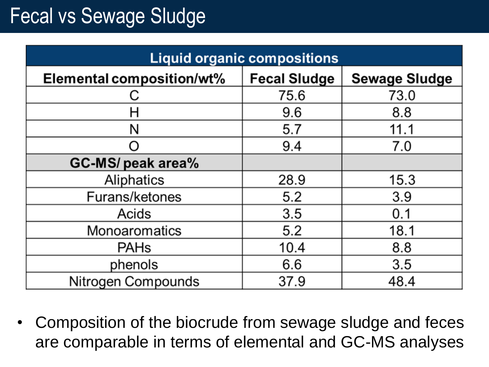# Fecal vs Sewage Sludge

| <b>Liquid organic compositions</b> |                     |                      |  |  |  |
|------------------------------------|---------------------|----------------------|--|--|--|
| Elemental composition/wt%          | <b>Fecal Sludge</b> | <b>Sewage Sludge</b> |  |  |  |
|                                    | 75.6                | 73.0                 |  |  |  |
| H                                  | 9.6                 | 8.8                  |  |  |  |
| N                                  | 5.7                 | 11.1                 |  |  |  |
|                                    | 9.4                 | 7.0                  |  |  |  |
| GC-MS/ peak area%                  |                     |                      |  |  |  |
| Aliphatics                         | 28.9                | 15.3                 |  |  |  |
| Furans/ketones                     | 5.2                 | 3.9                  |  |  |  |
| Acids                              | 3.5                 | 0.1                  |  |  |  |
| Monoaromatics                      | 5.2                 | 18.1                 |  |  |  |
| <b>PAHs</b>                        | 10.4                | 8.8                  |  |  |  |
| phenols                            | 6.6                 | 3.5                  |  |  |  |
| Nitrogen Compounds                 | 37.9                | 48.4                 |  |  |  |

• Composition of the biocrude from sewage sludge and feces are comparable in terms of elemental and GC-MS analyses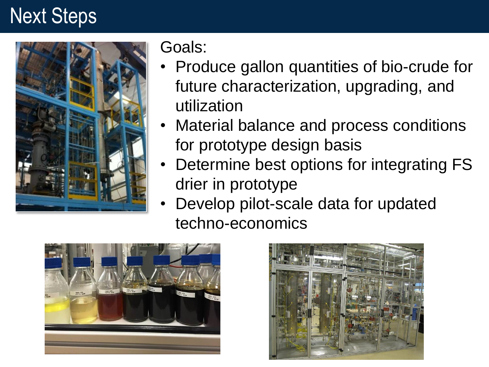#### Next Steps



Goals:

- Produce gallon quantities of bio-crude for future characterization, upgrading, and utilization
- Material balance and process conditions for prototype design basis
- Determine best options for integrating FS drier in prototype
- Develop pilot-scale data for updated techno-economics



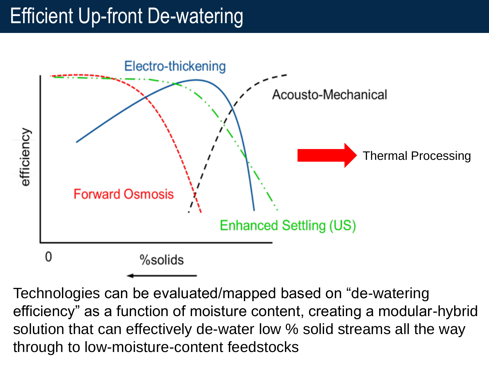# Efficient Up-front De-watering



Technologies can be evaluated/mapped based on "de-watering efficiency" as a function of moisture content, creating a modular-hybrid solution that can effectively de-water low % solid streams all the way through to low-moisture-content feedstocks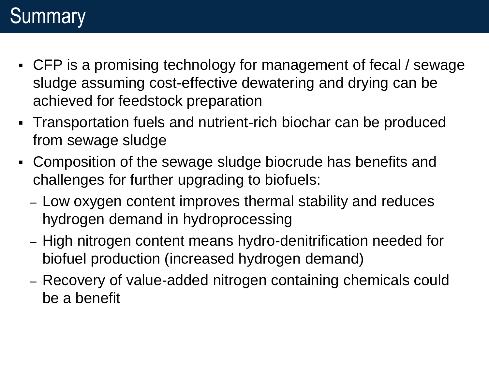# **Summary**

- CFP is a promising technology for management of fecal / sewage sludge assuming cost-effective dewatering and drying can be achieved for feedstock preparation
- Transportation fuels and nutrient-rich biochar can be produced from sewage sludge
- Composition of the sewage sludge biocrude has benefits and challenges for further upgrading to biofuels:
	- Low oxygen content improves thermal stability and reduces hydrogen demand in hydroprocessing
	- High nitrogen content means hydro-denitrification needed for biofuel production (increased hydrogen demand)
	- Recovery of value-added nitrogen containing chemicals could be a benefit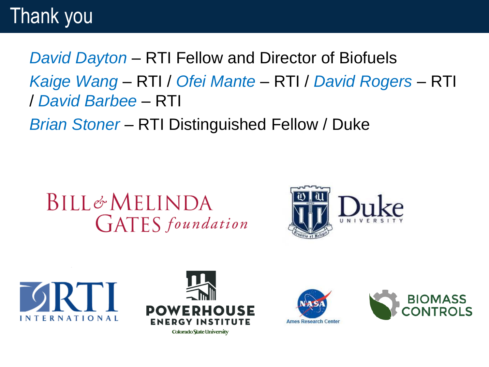#### Thank you

*David Dayton* – RTI Fellow and Director of Biofuels *Kaige Wang* – RTI / *Ofei Mante* – RTI / *David Rogers* – RTI / *David Barbee* – RTI

*Brian Stoner* – RTI Distinguished Fellow / Duke

#### $BILL \notin MELINDA$ **GATES** foundation